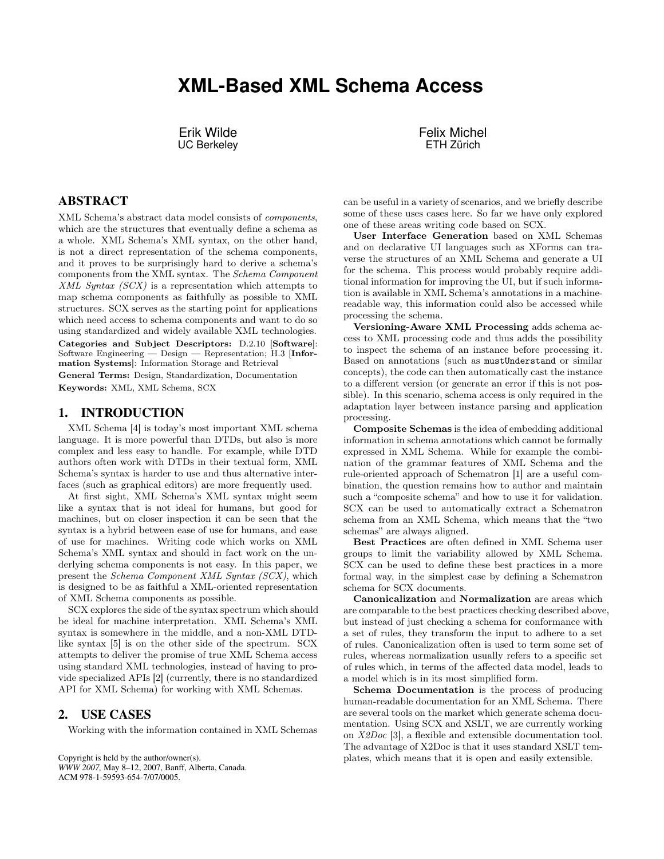# **XML-Based XML Schema Access**

Erik Wilde UC Berkeley Felix Michel ETH Zürich

## ABSTRACT

XML Schema's abstract data model consists of components, which are the structures that eventually define a schema as a whole. XML Schema's XML syntax, on the other hand, is not a direct representation of the schema components, and it proves to be surprisingly hard to derive a schema's components from the XML syntax. The Schema Component XML Syntax (SCX) is a representation which attempts to map schema components as faithfully as possible to XML structures. SCX serves as the starting point for applications which need access to schema components and want to do so using standardized and widely available XML technologies. Categories and Subject Descriptors: D.2.10 [Software]: Software Engineering — Design — Representation; H.3 [Information Systems]: Information Storage and Retrieval General Terms: Design, Standardization, Documentation

Keywords: XML, XML Schema, SCX

#### 1. INTRODUCTION

XML Schema [\[4\]](#page-1-0) is today's most important XML schema language. It is more powerful than DTDs, but also is more complex and less easy to handle. For example, while DTD authors often work with DTDs in their textual form, XML Schema's syntax is harder to use and thus alternative interfaces (such as graphical editors) are more frequently used.

At first sight, XML Schema's XML syntax might seem like a syntax that is not ideal for humans, but good for machines, but on closer inspection it can be seen that the syntax is a hybrid between ease of use for humans, and ease of use for machines. Writing code which works on XML Schema's XML syntax and should in fact work on the underlying schema components is not easy. In this paper, we present the Schema Component XML Syntax (SCX), which is designed to be as faithful a XML-oriented representation of XML Schema components as possible.

SCX explores the side of the syntax spectrum which should be ideal for machine interpretation. XML Schema's XML syntax is somewhere in the middle, and a non-XML DTDlike syntax [\[5\]](#page-1-0) is on the other side of the spectrum. SCX attempts to deliver the promise of true XML Schema access using standard XML technologies, instead of having to provide specialized APIs [\[2\]](#page-1-0) (currently, there is no standardized API for XML Schema) for working with XML Schemas.

#### 2. USE CASES

Working with the information contained in XML Schemas

Copyright is held by the author/owner(s). *WWW 2007,* May 8–12, 2007, Banff, Alberta, Canada. ACM 978-1-59593-654-7/07/0005.

can be useful in a variety of scenarios, and we briefly describe some of these uses cases here. So far we have only explored one of these areas writing code based on SCX.

User Interface Generation based on XML Schemas and on declarative UI languages such as XForms can traverse the structures of an XML Schema and generate a UI for the schema. This process would probably require additional information for improving the UI, but if such information is available in XML Schema's annotations in a machinereadable way, this information could also be accessed while processing the schema.

Versioning-Aware XML Processing adds schema access to XML processing code and thus adds the possibility to inspect the schema of an instance before processing it. Based on annotations (such as mustUnderstand or similar concepts), the code can then automatically cast the instance to a different version (or generate an error if this is not possible). In this scenario, schema access is only required in the adaptation layer between instance parsing and application processing.

Composite Schemas is the idea of embedding additional information in schema annotations which cannot be formally expressed in XML Schema. While for example the combination of the grammar features of XML Schema and the rule-oriented approach of Schematron [\[1\]](#page-1-0) are a useful combination, the question remains how to author and maintain such a "composite schema" and how to use it for validation. SCX can be used to automatically extract a Schematron schema from an XML Schema, which means that the "two schemas" are always aligned.

Best Practices are often defined in XML Schema user groups to limit the variability allowed by XML Schema. SCX can be used to define these best practices in a more formal way, in the simplest case by defining a Schematron schema for SCX documents.

Canonicalization and Normalization are areas which are comparable to the best practices checking described above, but instead of just checking a schema for conformance with a set of rules, they transform the input to adhere to a set of rules. Canonicalization often is used to term some set of rules, whereas normalization usually refers to a specific set of rules which, in terms of the affected data model, leads to a model which is in its most simplified form.

Schema Documentation is the process of producing human-readable documentation for an XML Schema. There are several tools on the market which generate schema documentation. Using SCX and XSLT, we are currently working on X2Doc [\[3\]](#page-1-0), a flexible and extensible documentation tool. The advantage of X2Doc is that it uses standard XSLT templates, which means that it is open and easily extensible.